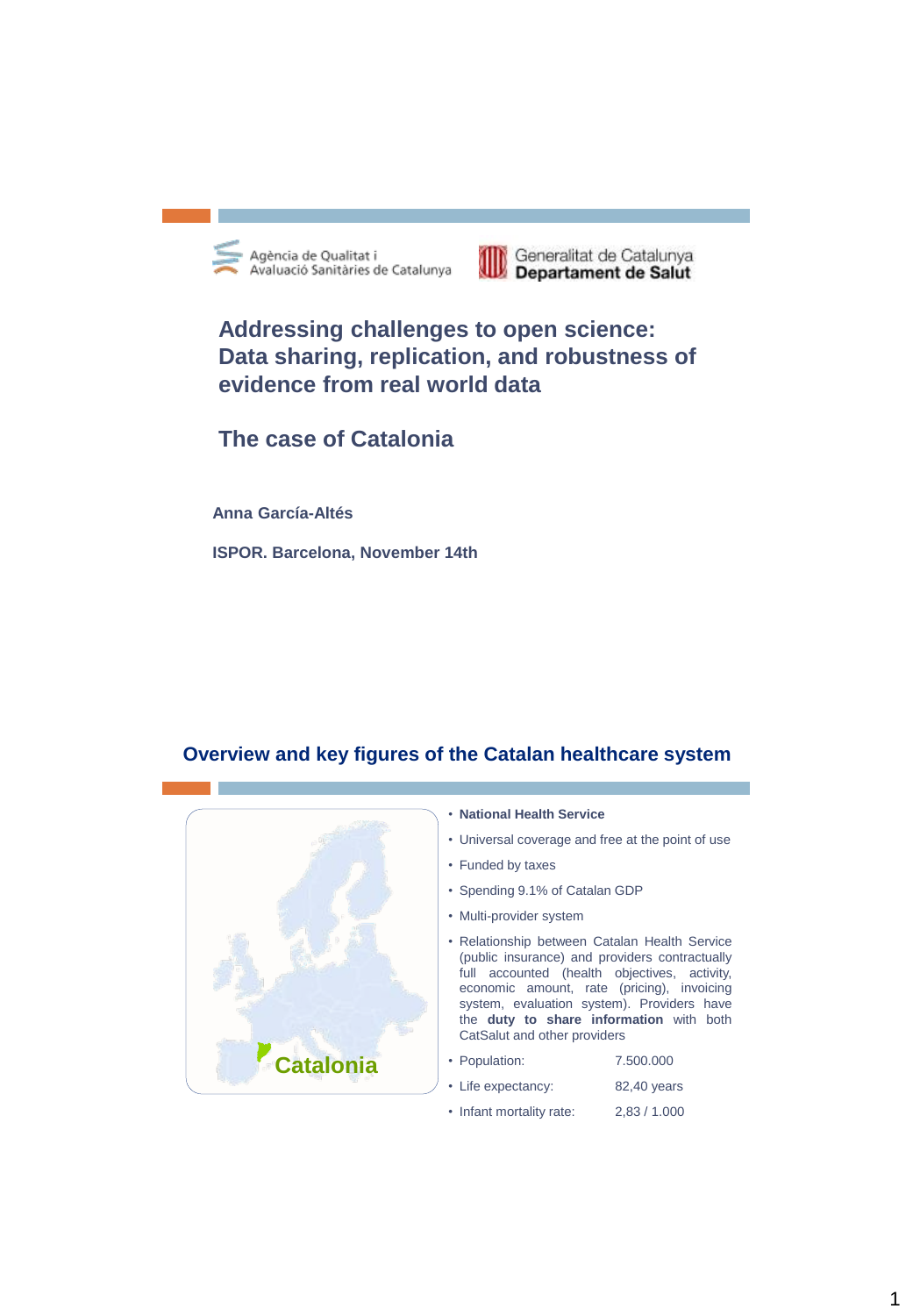



# **Addressing challenges to open science: Data sharing, replication, and robustness of evidence from real world data**

# **The case of Catalonia**

**Anna García-Altés**

**ISPOR. Barcelona, November 14th**

# **Overview and key figures of the Catalan healthcare system**



- **National Health Service**
- Universal coverage and free at the point of use
- Funded by taxes
- Spending 9.1% of Catalan GDP
- Multi-provider system
- Relationship between Catalan Health Service (public insurance) and providers contractually full accounted (health objectives, activity, economic amount, rate (pricing), invoicing system, evaluation system). Providers have the **duty to share information** with both CatSalut and other providers
- Population: 7.500.000
- Life expectancy: 82,40 years
- Infant mortality rate: 2,83 / 1.000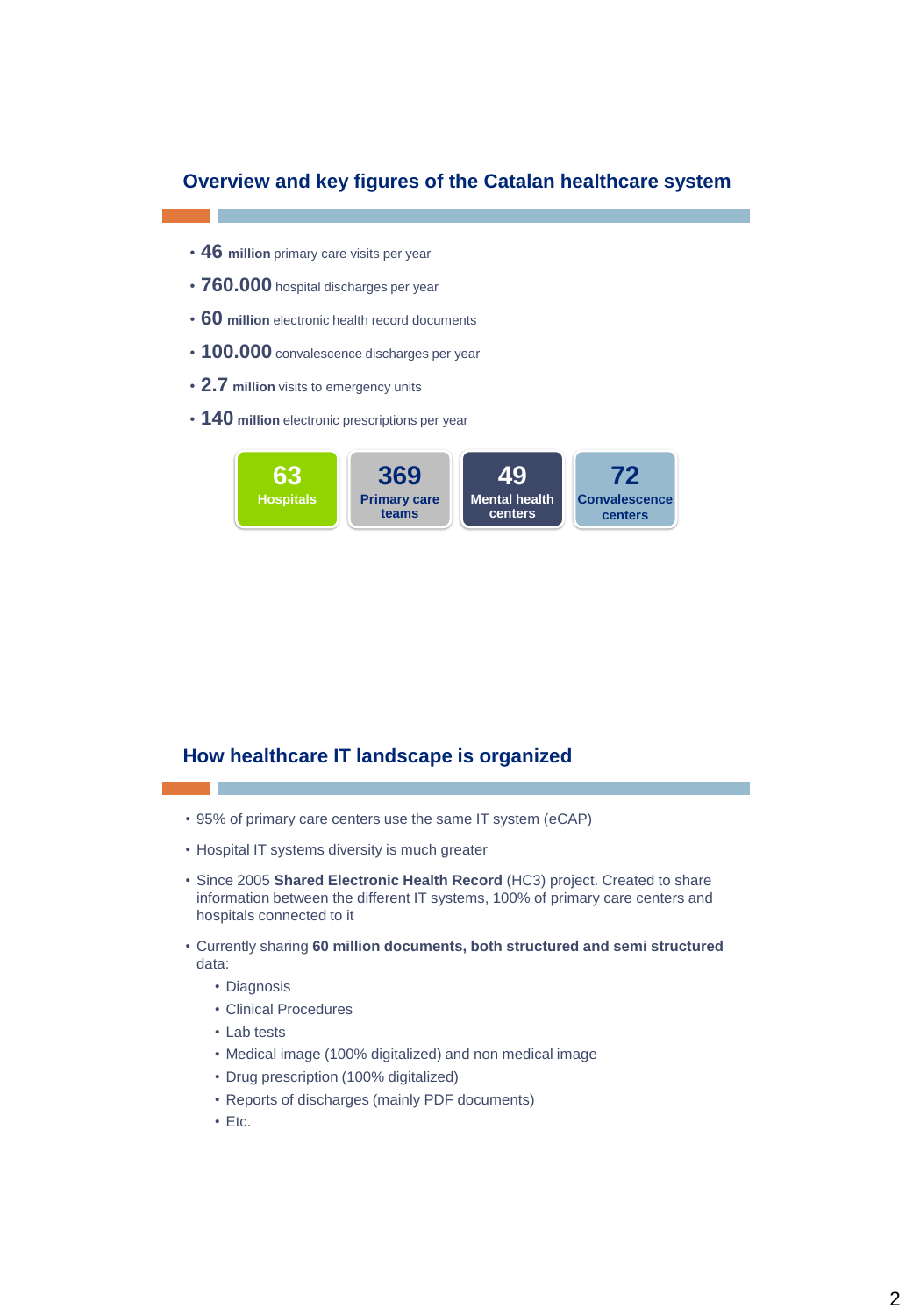### **Overview and key figures of the Catalan healthcare system**

- **46 million** primary care visits per year
- **760.000** hospital discharges per year
- **60 million** electronic health record documents
- **100.000** convalescence discharges per year
- **2.7 million** visits to emergency units
- **140 million** electronic prescriptions per year



#### **How healthcare IT landscape is organized**

- 95% of primary care centers use the same IT system (eCAP)
- Hospital IT systems diversity is much greater
- Since 2005 **Shared Electronic Health Record** (HC3) project. Created to share information between the different IT systems, 100% of primary care centers and hospitals connected to it
- Currently sharing **60 million documents, both structured and semi structured**  data:
	- Diagnosis
	- Clinical Procedures
	- Lab tests
	- Medical image (100% digitalized) and non medical image
	- Drug prescription (100% digitalized)
	- Reports of discharges (mainly PDF documents)
	- Etc.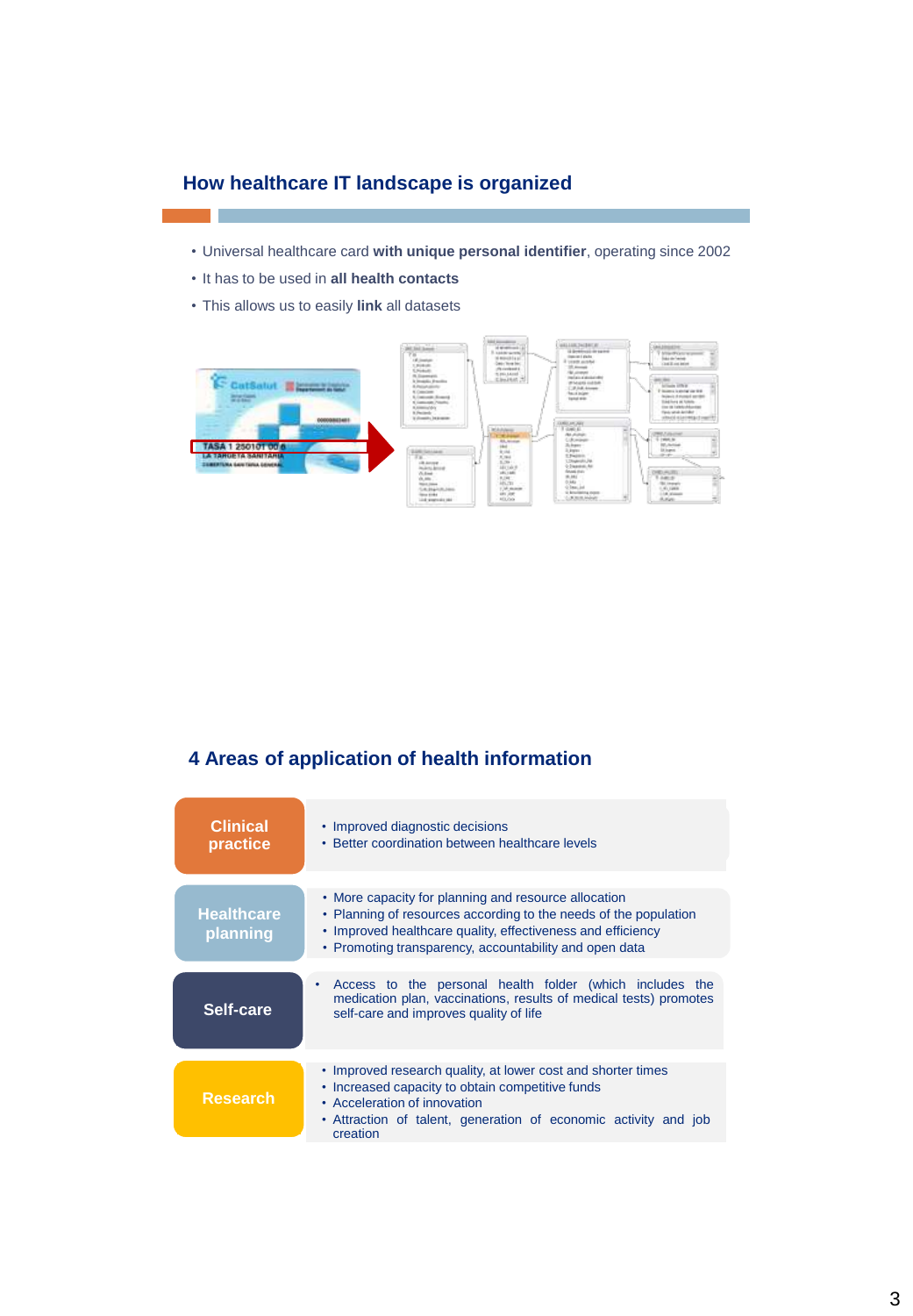# **How healthcare IT landscape is organized**

- Universal healthcare card **with unique personal identifier**, operating since 2002
- It has to be used in **all health contacts**
- This allows us to easily **link** all datasets



# **4 Areas of application of health information**

| <b>Clinical</b><br>practice   | • Improved diagnostic decisions<br>• Better coordination between healthcare levels                                                                                                                                                                |
|-------------------------------|---------------------------------------------------------------------------------------------------------------------------------------------------------------------------------------------------------------------------------------------------|
| <b>Healthcare</b><br>planning | • More capacity for planning and resource allocation<br>• Planning of resources according to the needs of the population<br>• Improved healthcare quality, effectiveness and efficiency<br>• Promoting transparency, accountability and open data |
| Self-care                     | Access to the personal health folder (which includes the<br>$\bullet$<br>medication plan, vaccinations, results of medical tests) promotes<br>self-care and improves quality of life                                                              |
| <b>Research</b>               | • Improved research quality, at lower cost and shorter times<br>• Increased capacity to obtain competitive funds<br>• Acceleration of innovation<br>• Attraction of talent, generation of economic activity and job<br>creation                   |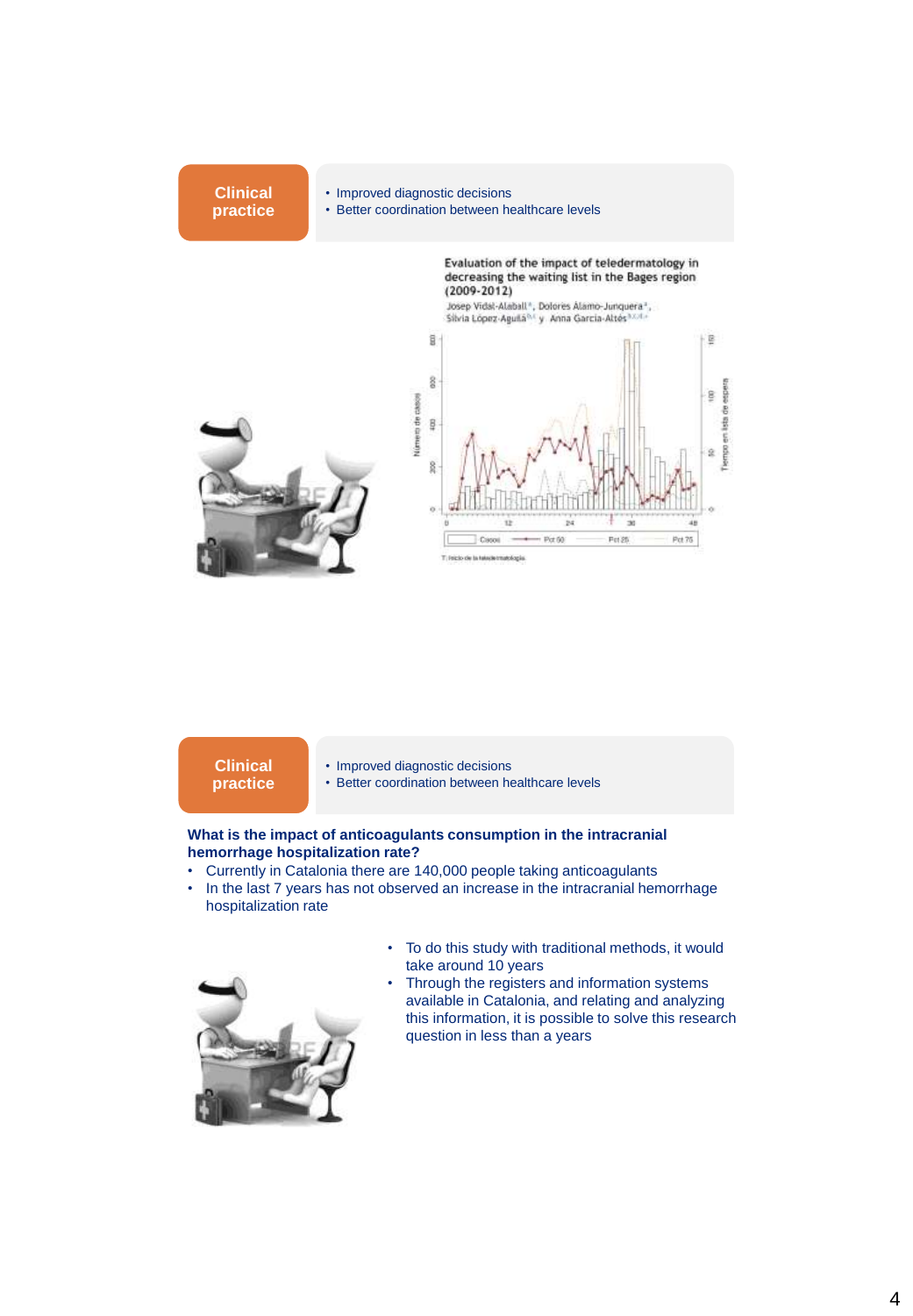#### **Clinical** • Improved diagnostic decisions • Better coordination between healthcare levels **practice** Evaluation of the impact of teledermatology in decreasing the waiting list in the Bages region  $(2009 - 2012)$ .<br>Josep Vidal-Alaball\*, Dolores Alamo-Junquera\*,<br>Silvia López-Aguilá<sup>na</sup> y Anna Garcia-Altés<sup>houta</sup>  $\overline{\mathrm{g}}$ g  $\frac{8}{2}$ g Número de casce g  $\overline{a}$ ŝ ţ  $\alpha$ Ř Þ. Pct 60 Pet 25 Pet 76

**Clinical practice**

- Improved diagnostic decisions
- Better coordination between healthcare levels

#### **What is the impact of anticoagulants consumption in the intracranial hemorrhage hospitalization rate?**

- Currently in Catalonia there are 140,000 people taking anticoagulants
- In the last 7 years has not observed an increase in the intracranial hemorrhage hospitalization rate



- To do this study with traditional methods, it would take around 10 years
- Through the registers and information systems available in Catalonia, and relating and analyzing this information, it is possible to solve this research question in less than a years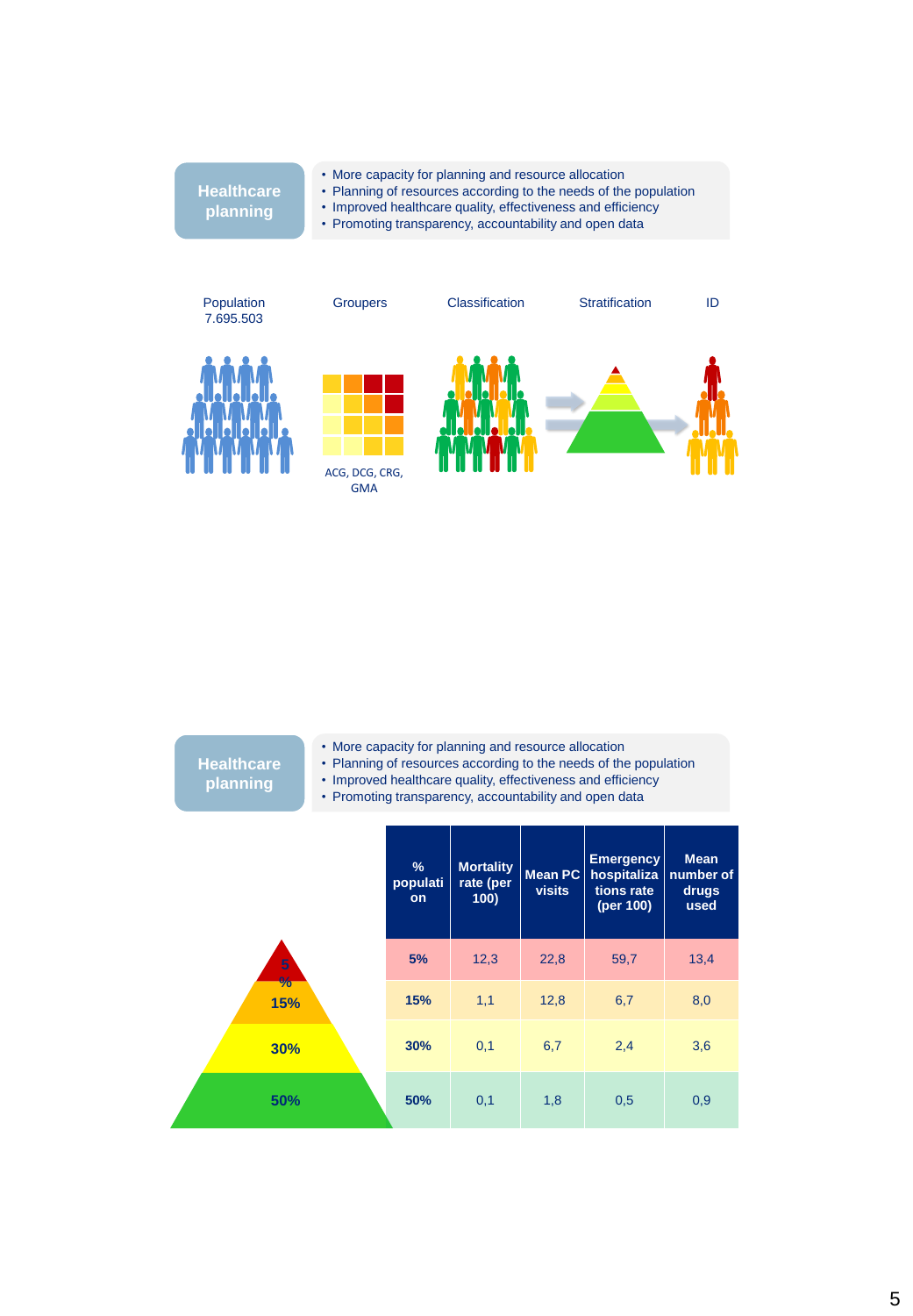## **Healthcare planning**

- More capacity for planning and resource allocation
- Planning of resources according to the needs of the population
- Improved healthcare quality, effectiveness and efficiency
- Promoting transparency, accountability and open data



• More capacity for planning and resource allocation

- Planning of resources according to the needs of the population
- **planning**

**Healthcare**

- 
- Improved healthcare quality, effectiveness and efficiency
- Promoting transparency, accountability and open data

|  |                      | %<br>populati<br>on | <b>Mortality</b><br>rate (per<br>100 | Mean PC<br><b>visits</b> | <b>Emergency</b><br>hospitaliza<br>tions rate<br>(per 100) | <b>Mean</b><br>number of<br>drugs<br>used |
|--|----------------------|---------------------|--------------------------------------|--------------------------|------------------------------------------------------------|-------------------------------------------|
|  | 5                    | 5%                  | 12,3                                 | 22,8                     | 59,7                                                       | 13,4                                      |
|  | $\frac{1}{6}$<br>15% | 15%                 | 1,1                                  | 12,8                     | 6,7                                                        | 8,0                                       |
|  | 30%                  | 30%                 | 0,1                                  | 6,7                      | 2,4                                                        | 3,6                                       |
|  | 50%                  | 50%                 | 0,1                                  | 1,8                      | 0,5                                                        | 0,9                                       |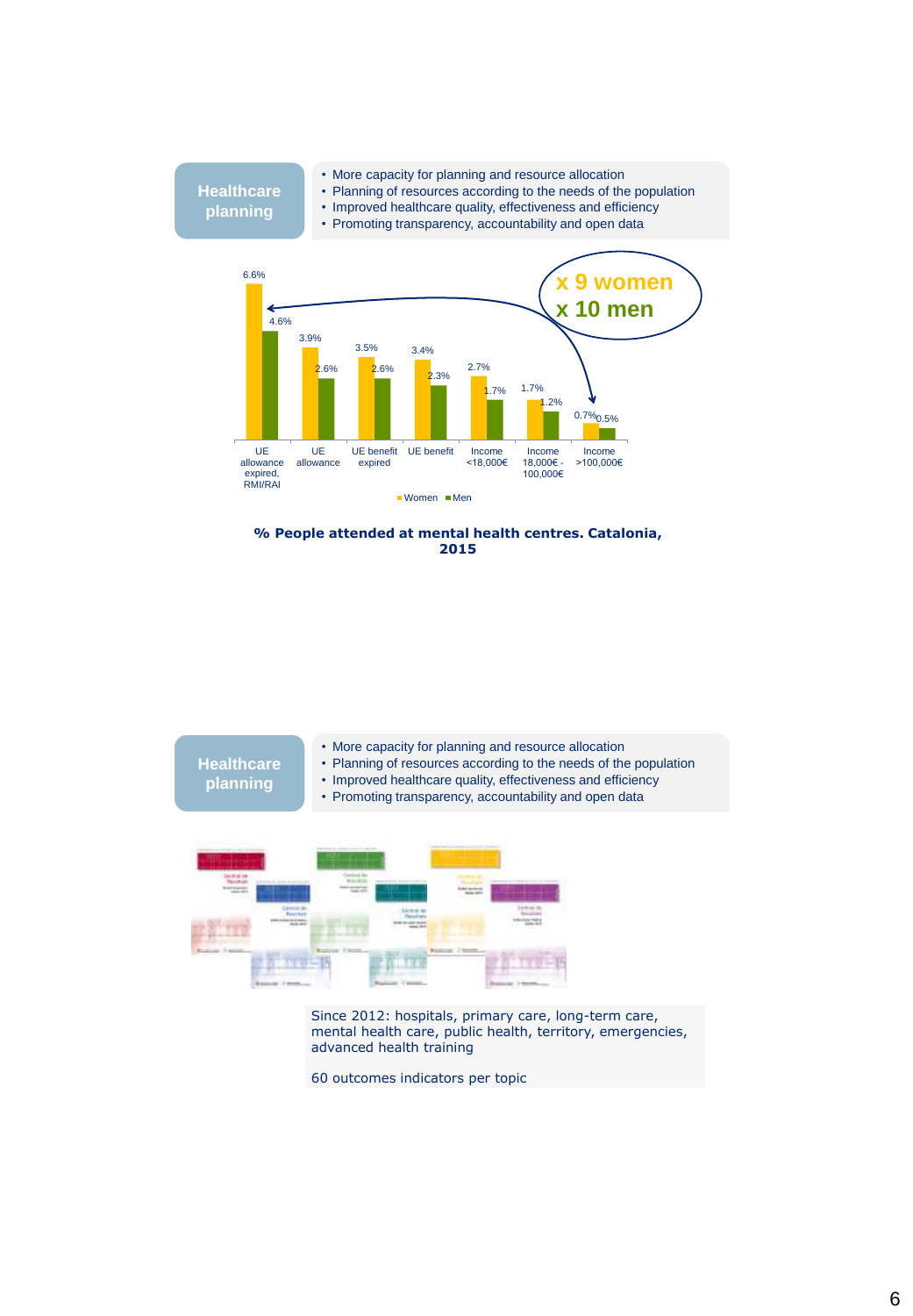

- More capacity for planning and resource allocation
- **Elealthcare** Planning of resources according to the needs of the population
	- Improved healthcare quality, effectiveness and efficiency
- **pramming**<br>• Promoting transparency, accountability and open data







mental health care, public health, territory, emergencies, advanced health training

60 outcomes indicators per topic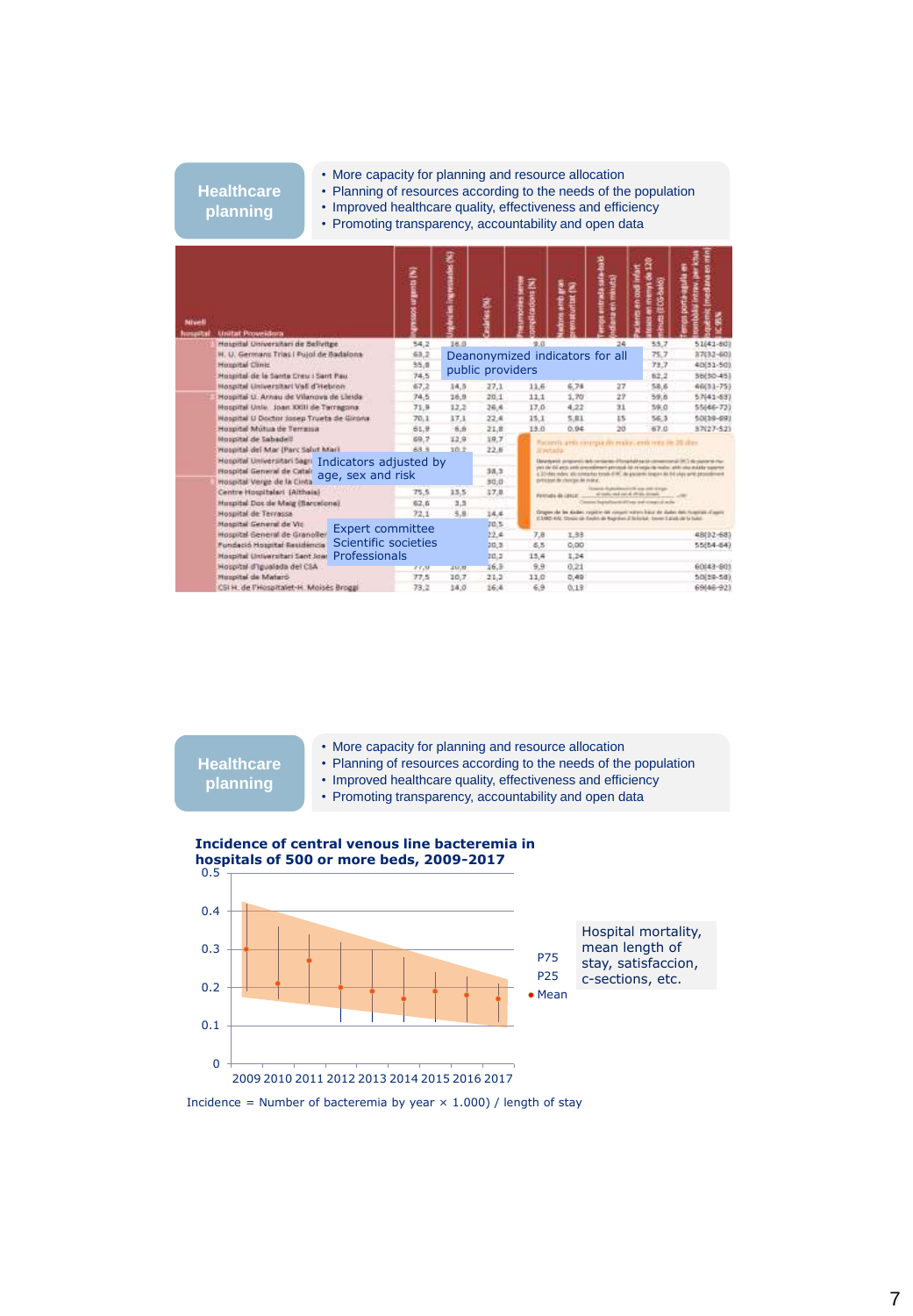#### **Healthcare planning**

- More capacity for planning and resource allocation
- Planning of resources according to the needs of the population
- Improved healthcare quality, effectiveness and efficiency
- Promoting transparency, accountability and open data

| <b>Niveli</b><br>hospital                                                                                                               | <b>Unital Proveidora</b>                 |                      | urgenta (%) | 医蛋白    | aries (N)         | 릺                                                                                                                                                                                                                                                                                                           | maturizat (N)<br>crea arrê av | en minus)                                                           | n de 12<br>en and infart<br><b>ECG band</b><br>Ĭ                                | edaru en mir<br><b>Wintney periods</b>                                                  |
|-----------------------------------------------------------------------------------------------------------------------------------------|------------------------------------------|----------------------|-------------|--------|-------------------|-------------------------------------------------------------------------------------------------------------------------------------------------------------------------------------------------------------------------------------------------------------------------------------------------------------|-------------------------------|---------------------------------------------------------------------|---------------------------------------------------------------------------------|-----------------------------------------------------------------------------------------|
|                                                                                                                                         | Hospital Universitari de Bellvitge       |                      | 54.2        | 18.0   |                   | 支店                                                                                                                                                                                                                                                                                                          |                               | 24                                                                  | 55.7                                                                            | 51(41-80)                                                                               |
|                                                                                                                                         | H. U. German: Triat I Pujol de Badalona  |                      | 63.2        |        |                   | Deanonymized indicators for all                                                                                                                                                                                                                                                                             |                               |                                                                     | 75.7                                                                            | 37(32-60)                                                                               |
|                                                                                                                                         | Hospital Clinic                          |                      | 55.8        |        | public providers  |                                                                                                                                                                                                                                                                                                             |                               |                                                                     | 72.7                                                                            | 40(51-50)                                                                               |
|                                                                                                                                         | Hospital de la Santa Cresci Sant Paul    |                      | 74.5        |        |                   |                                                                                                                                                                                                                                                                                                             |                               |                                                                     | 62.2                                                                            | 36(30-45)                                                                               |
|                                                                                                                                         | Hospital Universitari Vali d'Hebron      |                      | 67.2        | 14.5   | 27.1              | 11.6                                                                                                                                                                                                                                                                                                        | 6,78                          | 27                                                                  | 58.6                                                                            | 66(31-75)                                                                               |
|                                                                                                                                         | Hospital U. Arnau de Vilanova de Cirida  |                      | 74,5        | 16.9   | 20.1              | 11.1                                                                                                                                                                                                                                                                                                        | 1.70                          | 22                                                                  | 59.6                                                                            | $57(41 - 63)$                                                                           |
|                                                                                                                                         | Hospital Univ. Joan XXIII de Tarragona.  |                      | 71,9        | 13.2   | 26.6              | 17,0                                                                                                                                                                                                                                                                                                        | 4,22                          | 31                                                                  | 59.0                                                                            | 55(46-73)                                                                               |
|                                                                                                                                         | Hospital U Doctor Josep Truets de Girona |                      | 70,1        | 17.1   | 22.4              | 15.1                                                                                                                                                                                                                                                                                                        | 5,81                          | 15                                                                  | 56.3                                                                            | 50(39-69)                                                                               |
|                                                                                                                                         | Hospital Multua de Terrassa              |                      | 61.9        | 6.6    | 21.8              | 15.0                                                                                                                                                                                                                                                                                                        | 0.94                          | 20                                                                  | 67.0                                                                            | 83023-525                                                                               |
|                                                                                                                                         | Hospital de Sabadell                     |                      | 69.7        | 12.9   | 19.7              |                                                                                                                                                                                                                                                                                                             |                               |                                                                     | Постатов александы он глава, алексика на 20 июл                                 |                                                                                         |
| Hospital del Mar (Parc Salut Mar)                                                                                                       |                                          |                      | 63.9        | 10.7   | 22.8              | A setada                                                                                                                                                                                                                                                                                                    |                               |                                                                     |                                                                                 |                                                                                         |
| Hospital Universitari Sagni<br>Indicators adjusted by<br>Hospital General de Catali<br>age, sex and risk<br>Hospital Verge de la Cirità |                                          |                      |             |        | 38.3<br>30.0      | Developmi programs dal company diferenti tessi comprende (6.1 de parente ma-<br>yers the EA anchi and investment pressual its reserga de matur and it also studdly superior<br>a 30 day value, allo contactor totals d.W. As parantici idagos de 24 sites ante providinant<br>presion de chocias de rojnal. |                               |                                                                     |                                                                                 |                                                                                         |
|                                                                                                                                         | Centre Hospitalari (Althala)             |                      | 75,5        | 15.5   | 17.8              |                                                                                                                                                                                                                                                                                                             | <b>Postuda da casce</b>       | have Automotive as an enga<br>all stable, and look of Philip Scraph |                                                                                 |                                                                                         |
|                                                                                                                                         | Hospital Doc de Maig (Barcelona)         |                      | 62.6        | 3.3    |                   |                                                                                                                                                                                                                                                                                                             |                               |                                                                     | Common Degitation of AT year and complete active                                |                                                                                         |
|                                                                                                                                         | Hospital de Terrassa                     |                      | 72.1        | 5.8    | 14.4              |                                                                                                                                                                                                                                                                                                             |                               |                                                                     | (1982) 6AL Direct de Castrio de Nogramos d'Industrio, Leven 1,4 più de la fabil | Gregory de les stades, vegetive des congest waren bates de stades dels vegetats d'agent |
|                                                                                                                                         | Mospital General de Vic                  | Expert committee     |             |        | 10.5              |                                                                                                                                                                                                                                                                                                             |                               |                                                                     |                                                                                 |                                                                                         |
|                                                                                                                                         | Hospital General de Granoller            |                      |             |        | 12.4              | 7.8                                                                                                                                                                                                                                                                                                         | 1.33                          |                                                                     |                                                                                 | 48(92-68)                                                                               |
|                                                                                                                                         | Fundació Hospital Residencia             | Scientific societies |             |        | 10.3 <sub>1</sub> | 6.5                                                                                                                                                                                                                                                                                                         | 0,00                          |                                                                     |                                                                                 | 55(54-64)                                                                               |
|                                                                                                                                         | Mospital Universitati Sant Joer          | Professionals        |             |        | 10.2              | 15.6                                                                                                                                                                                                                                                                                                        | 1.24                          |                                                                     |                                                                                 |                                                                                         |
|                                                                                                                                         | Hospital d'Igualada del CSA              |                      | F.C.M.      | 410.00 | 16.8              | 9.9                                                                                                                                                                                                                                                                                                         | 0.21                          |                                                                     |                                                                                 | 60(43-60)                                                                               |
|                                                                                                                                         | <b>Hospital</b> da Matero                |                      | 77,5        | 10.7   | 21,2              | 11,0                                                                                                                                                                                                                                                                                                        | 0,49                          |                                                                     |                                                                                 | $50(39 - 58)$                                                                           |
|                                                                                                                                         | CSI H. de l'Hospitalet-H. Moisès Broggi  |                      | 73.2        | 14.0   | 16:4              | 6.9                                                                                                                                                                                                                                                                                                         | 0.18                          |                                                                     |                                                                                 | 69(46-92)                                                                               |

**Healthcare planning**

- More capacity for planning and resource allocation
- Planning of resources according to the needs of the population
- Improved healthcare quality, effectiveness and efficiency
- Promoting transparency, accountability and open data





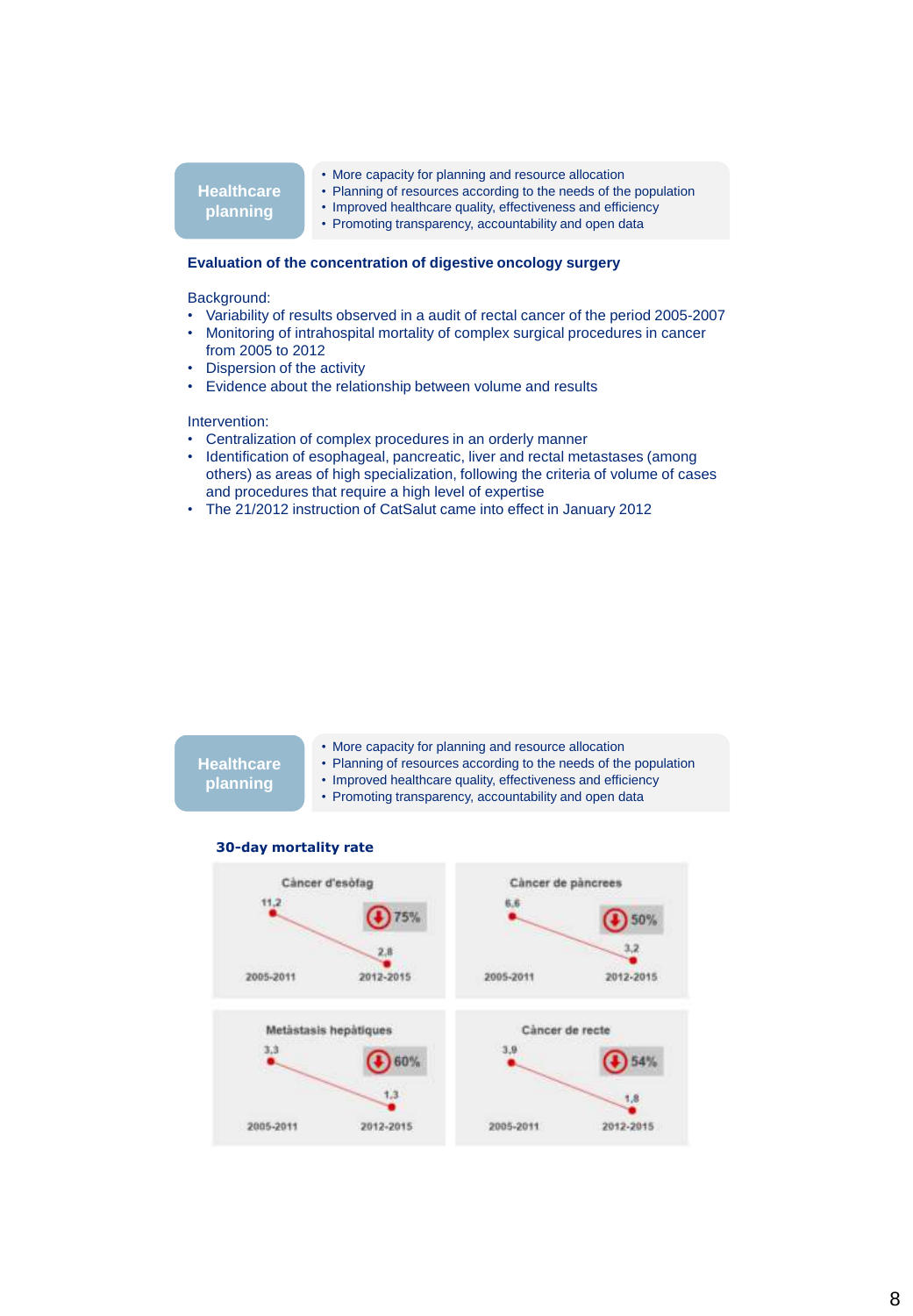## **Healthcare planning**

- More capacity for planning and resource allocation
- Planning of resources according to the needs of the population
- Improved healthcare quality, effectiveness and efficiency
- Promoting transparency, accountability and open data

#### **Evaluation of the concentration of digestive oncology surgery**

Background:

- Variability of results observed in a audit of rectal cancer of the period 2005-2007
- Monitoring of intrahospital mortality of complex surgical procedures in cancer from 2005 to 2012
- Dispersion of the activity
- Evidence about the relationship between volume and results

Intervention:

- Centralization of complex procedures in an orderly manner
- Identification of esophageal, pancreatic, liver and rectal metastases (among others) as areas of high specialization, following the criteria of volume of cases and procedures that require a high level of expertise
- The 21/2012 instruction of CatSalut came into effect in January 2012

**Healthcare planning**

- More capacity for planning and resource allocation
- Planning of resources according to the needs of the population
- Improved healthcare quality, effectiveness and efficiency
- Promoting transparency, accountability and open data

#### **30-day mortality rate**

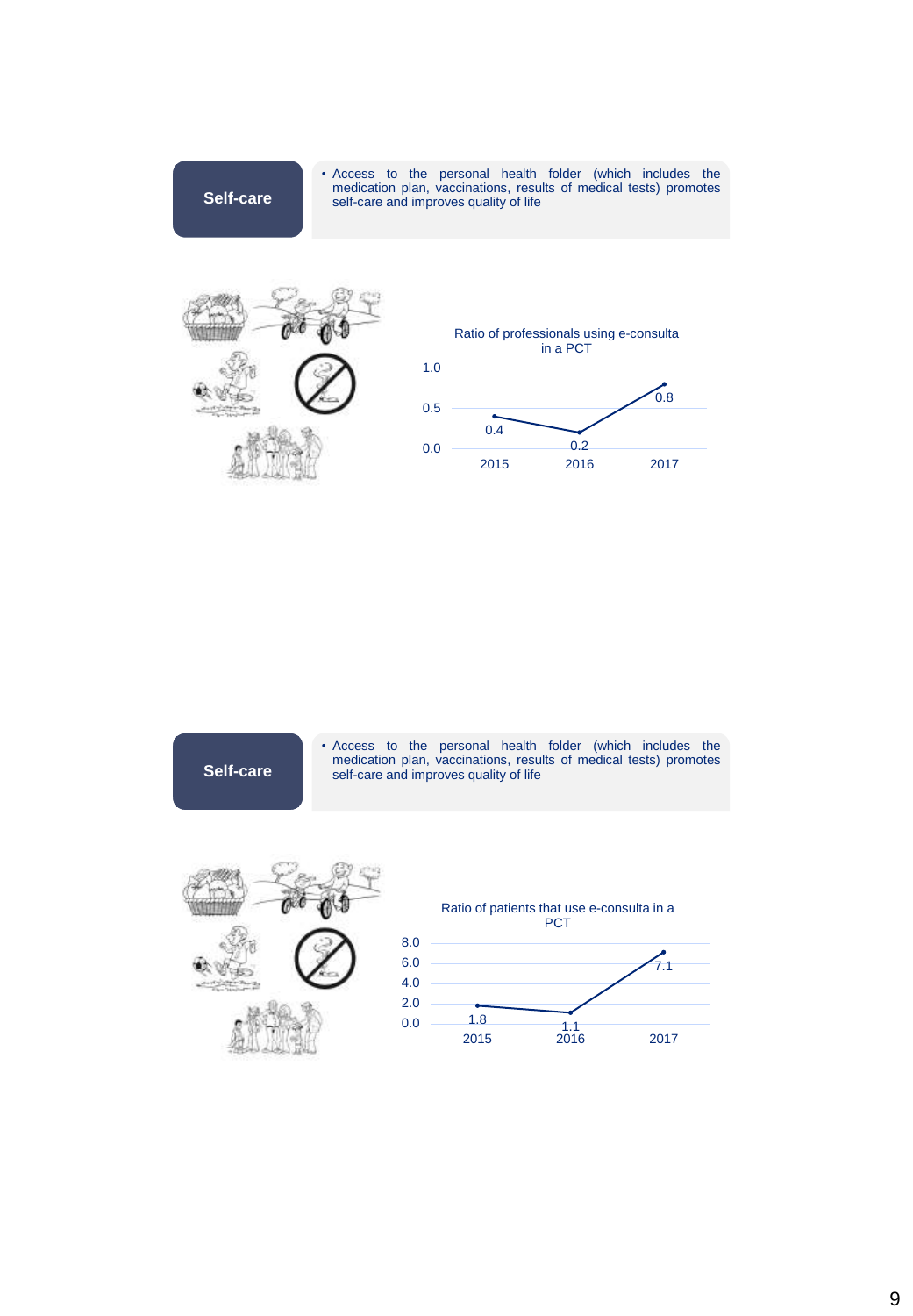• Access to the personal health folder (which includes the **Self-care** medication plan, vaccinations, results of medical tests) promotes **Self-care** self-care and improves quality of life





• Access to the personal health folder (which includes the **Self-care** medication plan, vaccinations, results of medical tests) promotes **Self-care** self-care and improves quality of life

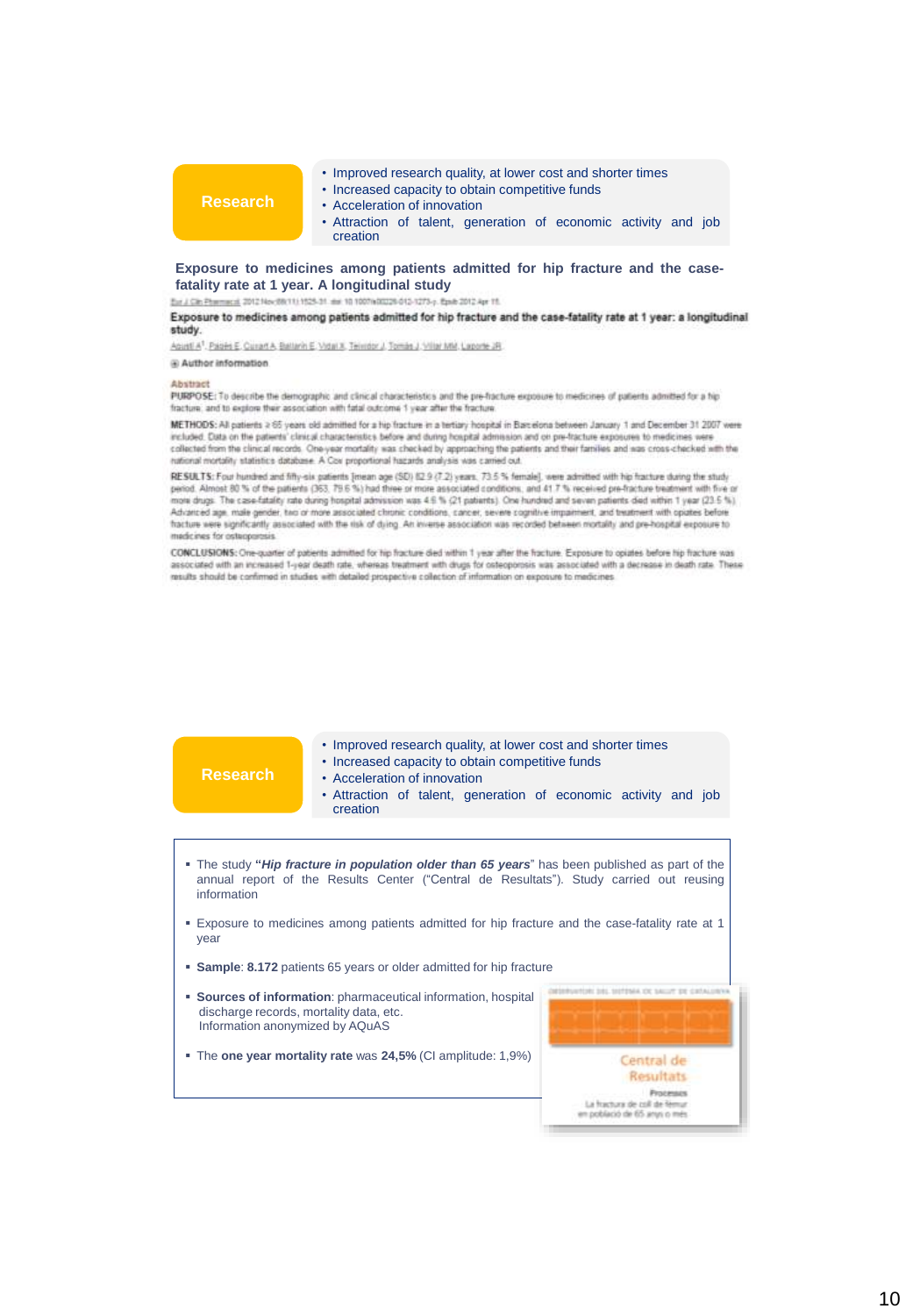• Improved research quality, at lower cost and shorter times

#### • Increased capacity to obtain competitive funds

- Acceleration of innovation
	- Attraction of talent, generation of economic activity and job creation

#### **Exposure to medicines among patients admitted for hip fracture and the casefatality rate at 1 year. A longitudinal study**

Ear J Clin Pharmacal, 2012 Nov (89/11) 1925-01, mix, 10 1007 (40223-012-1273-), Epile 2012 Apr 11.

#### Exposure to medicines among patients admitted for hip fracture and the case-fatality rate at 1 year: a longitudinal study.

Agast A<sup>1</sup>, Pages E. Curart A. Battank E. Vidal X, Teledor J, Tomás J, Villar MM, Laporte JR,

a Author information

**Research**

#### Abstract

PURPOSE: To describe the demographic and clinical characteristics and the pre-fracture exposure to medicines of patients admitted for a hip fracture, and to explore their association with fatal outcome 1 year after the fracture

METHODS: All patients a 65 years old admitted for a hip fracture in a tertary hospital in Barcelona between January 1 and December 31 2007 were included. Data on the patients' clinical characteristics before and during hospital admission and on pre-fracture exposures to medicines we collected from the clinical records. One-year mortality was checked by approaching the patients and their families and was cross-checked with the national mortality statistics database. A Cox proportional hazards analysis was carried out.

RESULTS: Four hundred and fifty-six patients [mean age (SD) (2.9 (7.2) years, 73.5% female], were admitted with hip fracture during the study period. Almost 80 % of the patients (363, 79.6 %) had three or more associated conditions, and 41.7 % received pre-fracture treatment with five or more drugs. The case-fatality rate during hospital admission was 4.6 % (21 patients). One hundred and seven patients died within 1 year (23.5 %). Advanced age, male gender, two or more associated chronic conditions, cancer, severe cognitive impairment, and treatment with opintes before fracture were significantly associated with the risk of duing. An inverse association was recorded between mortality and pre-hospital exposure to medicines for osteoparasis

CONCLUSIONS: One-quarter of patients admitted for hip fracture died within 1 year after the fracture. Exposure to opiates before hip fracture was associated with an increased 1-year death rate, whereas treatment with drugs for osteoponisis was associated with a decrease in death rate. These results should be confirmed in studies with detailed prospective collection of information on exposure to medicines.

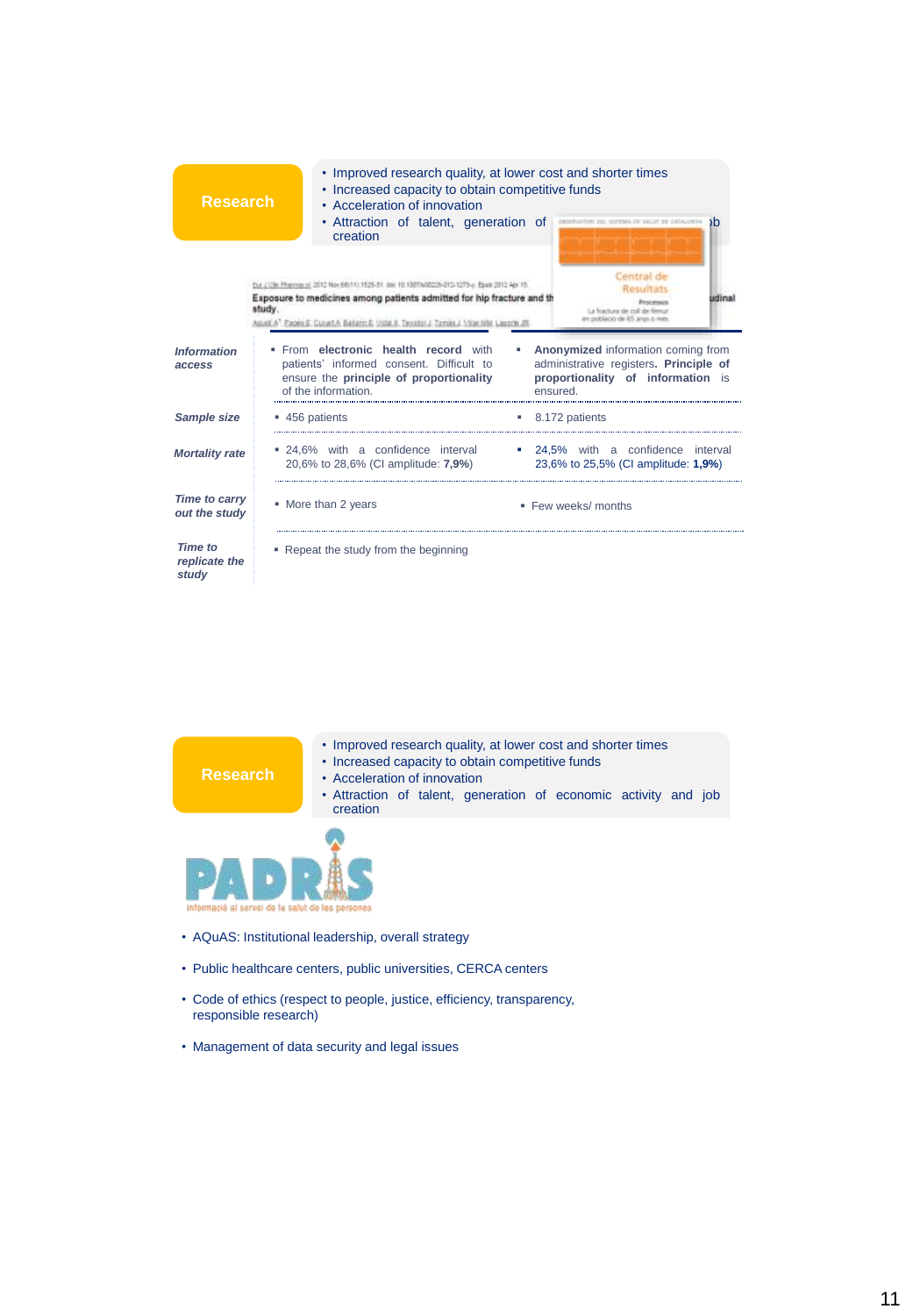| <b>Research</b>                       | • Improved research quality, at lower cost and shorter times<br>• Increased capacity to obtain competitive funds<br>• Acceleration of innovation<br>Attraction of talent, generation of<br>לו<br>creation                                                                                                                                                                        |
|---------------------------------------|----------------------------------------------------------------------------------------------------------------------------------------------------------------------------------------------------------------------------------------------------------------------------------------------------------------------------------------------------------------------------------|
|                                       | Central de<br>Eur J (Ste. Pharmac p), 2012 Nov 68(11) (1525-31, and 10:10070400226-012-1273-y, Epoly 2012 Apr 16<br>Resultats<br>Exposure to medicines among patients admitted for hip fracture and th<br>adinal<br>study.<br>schara de coli de Nema<br>en població de 65 anys o mé<br>Aquel A". Pages E. Cusart A. Batarin E. Vidal X. Teoldor J. Tomás J. Villar NM, Lasony JR |
| <b>Information</b><br>access          | . From electronic health record with<br>Anonymized information coming from<br>patients' informed consent. Difficult to<br>administrative registers. Principle of<br>proportionality of information is<br>ensure the principle of proportionality<br>of the information<br>ensured                                                                                                |
| Sample size                           | ■ 456 patients<br>8.172 patients                                                                                                                                                                                                                                                                                                                                                 |
| <b>Mortality rate</b>                 | ■ 24.6% with a confidence interval<br>• 24.5% with a confidence interval<br>20,6% to 28,6% (CI amplitude: <b>7,9%)</b><br>23,6% to 25,5% (CI amplitude: <b>1,9%)</b>                                                                                                                                                                                                             |
| <b>Time to carry</b><br>out the study | • More than 2 years<br>· Few weeks/ months                                                                                                                                                                                                                                                                                                                                       |
| Time to<br>replicate the<br>study     | • Repeat the study from the beginning                                                                                                                                                                                                                                                                                                                                            |



- AQuAS: Institutional leadership, overall strategy
- Public healthcare centers, public universities, CERCA centers
- Code of ethics (respect to people, justice, efficiency, transparency, responsible research)
- Management of data security and legal issues